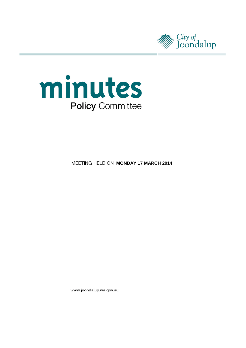



**MEETING HELD ON MONDAY 17 MARCH 2014** 

www.joondalup.wa.gov.au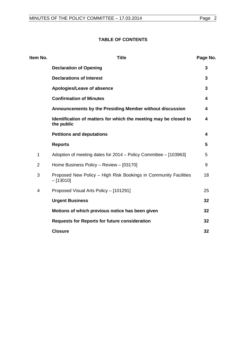# **TABLE OF CONTENTS**

| Item No.       | <b>Title</b>                                                                   | Page No. |
|----------------|--------------------------------------------------------------------------------|----------|
|                | <b>Declaration of Opening</b>                                                  | 3        |
|                | <b>Declarations of Interest</b>                                                | 3        |
|                | Apologies/Leave of absence                                                     | 3        |
|                | <b>Confirmation of Minutes</b>                                                 | 4        |
|                | Announcements by the Presiding Member without discussion                       | 4        |
|                | Identification of matters for which the meeting may be closed to<br>the public | 4        |
|                | <b>Petitions and deputations</b>                                               | 4        |
|                | <b>Reports</b>                                                                 | 5        |
| 1              | Adoption of meeting dates for 2014 – Policy Committee – [103963]               | 5        |
| $\overline{2}$ | Home Business Policy - Review - [03170]                                        | 9        |
| 3              | Proposed New Policy - High Risk Bookings in Community Facilities<br>$-[13010]$ | 18       |
| 4              | Proposed Visual Arts Policy - [101291]                                         | 25       |
|                | <b>Urgent Business</b>                                                         | 32       |
|                | Motions of which previous notice has been given                                | 32       |
|                | <b>Requests for Reports for future consideration</b>                           | 32       |
|                | <b>Closure</b>                                                                 | 32       |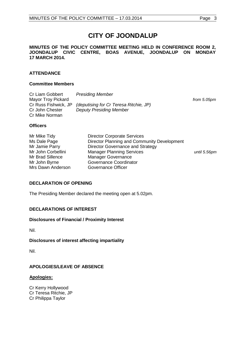# **CITY OF JOONDALUP**

#### **MINUTES OF THE POLICY COMMITTEE MEETING HELD IN CONFERENCE ROOM 2, JOONDALUP CIVIC CENTRE, BOAS AVENUE, JOONDALUP ON MONDAY 17 MARCH 2014.**

# **ATTENDANCE**

#### **Committee Members**

| Cr Liam Gobbert      | <b>Presiding Member</b>                |             |
|----------------------|----------------------------------------|-------------|
| Mayor Troy Pickard   |                                        | from 5.05pm |
| Cr Russ Fishwick, JP | (deputising for Cr Teresa Ritchie, JP) |             |
| Cr John Chester      | <b>Deputy Presiding Member</b>         |             |
| Cr Mike Norman       |                                        |             |

#### **Officers**

| Mr Mike Tidy<br>Ms Dale Page<br>Mr Jamie Parry<br>Mr John Corbellini<br>Mr Brad Sillence<br>Mr John Byrne | <b>Director Corporate Services</b><br>Director Planning and Community Development<br>Director Governance and Strategy<br><b>Manager Planning Services</b><br><b>Manager Governance</b><br>Governance Coordinator | until 5.56pm |
|-----------------------------------------------------------------------------------------------------------|------------------------------------------------------------------------------------------------------------------------------------------------------------------------------------------------------------------|--------------|
| Mrs Dawn Anderson                                                                                         | Governance Officer                                                                                                                                                                                               |              |

#### <span id="page-2-0"></span>**DECLARATION OF OPENING**

The Presiding Member declared the meeting open at 5.02pm.

# <span id="page-2-1"></span>**DECLARATIONS OF INTEREST**

#### **Disclosures of Financial / Proximity Interest**

Nil.

# **Disclosures of interest affecting impartiality**

Nil.

# <span id="page-2-2"></span>**APOLOGIES/LEAVE OF ABSENCE**

#### **Apologies:**

Cr Kerry Hollywood Cr Teresa Ritchie, JP Cr Philippa Taylor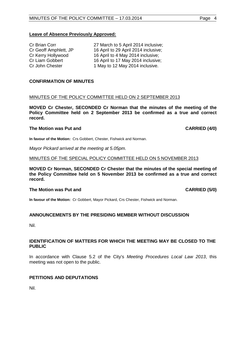#### **Leave of Absence Previously Approved:**

| <b>Cr Brian Corr</b>  |  |
|-----------------------|--|
| Cr Geoff Amphlett, JP |  |
| Cr Kerry Hollywood    |  |
| Cr Liam Gobbert       |  |
| Cr John Chester       |  |

27 March to 5 April 2014 inclusive; 16 April to 29 April 2014 inclusive; 16 April to 4 May 2014 inclusive; 16 April to 17 May 2014 inclusive; 1 May to 12 May 2014 inclusive.

#### <span id="page-3-0"></span>**CONFIRMATION OF MINUTES**

### MINUTES OF THE POLICY COMMITTEE HELD ON 2 SEPTEMBER 2013

**MOVED Cr Chester, SECONDED Cr Norman that the minutes of the meeting of the Policy Committee held on 2 September 2013 be confirmed as a true and correct record.**

#### **The Motion was Put and CARRIED (4/0) CARRIED (4/0)**

**In favour of the Motion:** Crs Gobbert, Chester, Fishwick and Norman.

*Mayor Pickard arrived at the meeting at 5.05pm.*

#### MINUTES OF THE SPECIAL POLICY COMMITTEE HELD ON 5 NOVEMBER 2013

**MOVED Cr Norman, SECONDED Cr Chester that the minutes of the special meeting of the Policy Committee held on 5 November 2013 be confirmed as a true and correct record.**

#### **The Motion was Put and CARRIED (5/0) CARRIED (5/0)**

**In favour of the Motion:** Cr Gobbert, Mayor Pickard, Crs Chester, Fishwick and Norman.

#### <span id="page-3-1"></span>**ANNOUNCEMENTS BY THE PRESIDING MEMBER WITHOUT DISCUSSION**

Nil.

#### <span id="page-3-2"></span>**IDENTIFICATION OF MATTERS FOR WHICH THE MEETING MAY BE CLOSED TO THE PUBLIC**

In accordance with Clause 5.2 of the City's *Meeting Procedures Local Law 2013*, this meeting was not open to the public.

#### <span id="page-3-3"></span>**PETITIONS AND DEPUTATIONS**

<span id="page-3-4"></span>Nil.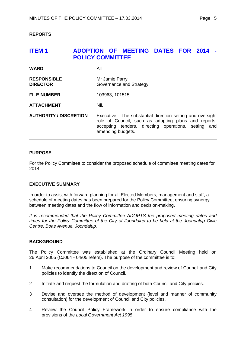# <span id="page-4-0"></span>**ITEM 1 ADOPTION OF MEETING DATES FOR 2014 - POLICY COMMITTEE**

| <b>WARD</b>                           | All                                                                                                                                                                                              |
|---------------------------------------|--------------------------------------------------------------------------------------------------------------------------------------------------------------------------------------------------|
| <b>RESPONSIBLE</b><br><b>DIRECTOR</b> | Mr Jamie Parry<br>Governance and Strategy                                                                                                                                                        |
| <b>FILE NUMBER</b>                    | 103963, 101515                                                                                                                                                                                   |
| <b>ATTACHMENT</b>                     | Nil.                                                                                                                                                                                             |
| <b>AUTHORITY / DISCRETION</b>         | Executive - The substantial direction setting and oversight<br>role of Council, such as adopting plans and reports,<br>accepting tenders, directing operations, setting and<br>amending budgets. |

### **PURPOSE**

For the Policy Committee to consider the proposed schedule of committee meeting dates for 2014.

#### **EXECUTIVE SUMMARY**

In order to assist with forward planning for all Elected Members, management and staff, a schedule of meeting dates has been prepared for the Policy Committee, ensuring synergy between meeting dates and the flow of information and decision-making.

*It is recommended that the Policy Committee ADOPTS the proposed meeting dates and times for the Policy Committee of the City of Joondalup to be held at the Joondalup Civic Centre, Boas Avenue, Joondalup.*

#### **BACKGROUND**

The Policy Committee was established at the Ordinary Council Meeting held on 26 April 2005 (CJ064 - 04/05 refers). The purpose of the committee is to:

- 1 Make recommendations to Council on the development and review of Council and City policies to identify the direction of Council.
- 2 Initiate and request the formulation and drafting of both Council and City policies.
- 3 Devise and oversee the method of development (level and manner of community consultation) for the development of Council and City policies.
- 4 Review the Council Policy Framework in order to ensure compliance with the provisions of the *Local Government Act 1995*.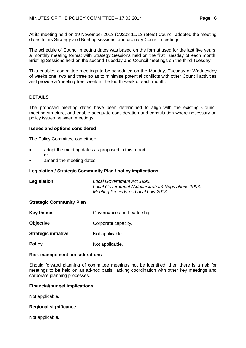At its meeting held on 19 November 2013 (CJ208-11/13 refers) Council adopted the meeting dates for its Strategy and Briefing sessions, and ordinary Council meetings.

The schedule of Council meeting dates was based on the format used for the last five years; a monthly meeting format with Strategy Sessions held on the first Tuesday of each month; Briefing Sessions held on the second Tuesday and Council meetings on the third Tuesday.

This enables committee meetings to be scheduled on the Monday, Tuesday or Wednesday of weeks one, two and three so as to minimise potential conflicts with other Council activities and provide a 'meeting-free' week in the fourth week of each month.

# **DETAILS**

The proposed meeting dates have been determined to align with the existing Council meeting structure, and enable adequate consideration and consultation where necessary on policy issues between meetings.

#### **Issues and options considered**

The Policy Committee can either:

- adopt the meeting dates as proposed in this report or
- amend the meeting dates.

### **Legislation / Strategic Community Plan / policy implications**

| Legislation | Local Government Act 1995.<br>Local Government (Administration) Regulations 1996.<br>Meeting Procedures Local Law 2013. |
|-------------|-------------------------------------------------------------------------------------------------------------------------|
|             |                                                                                                                         |

#### **Strategic Community Plan**

| <b>Key theme</b>            | Governance and Leadership. |
|-----------------------------|----------------------------|
| <b>Objective</b>            | Corporate capacity.        |
| <b>Strategic initiative</b> | Not applicable.            |
| <b>Policy</b>               | Not applicable.            |

#### **Risk management considerations**

Should forward planning of committee meetings not be identified, then there is a risk for meetings to be held on an ad-hoc basis; lacking coordination with other key meetings and corporate planning processes.

#### **Financial/budget implications**

Not applicable.

#### **Regional significance**

Not applicable.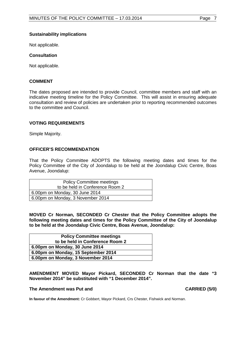#### **Sustainability implications**

Not applicable.

#### **Consultation**

Not applicable.

#### **COMMENT**

The dates proposed are intended to provide Council, committee members and staff with an indicative meeting timeline for the Policy Committee. This will assist in ensuring adequate consultation and review of policies are undertaken prior to reporting recommended outcomes to the committee and Council.

#### **VOTING REQUIREMENTS**

Simple Majority.

#### **OFFICER'S RECOMMENDATION**

That the Policy Committee ADOPTS the following meeting dates and times for the Policy Committee of the City of Joondalup to be held at the Joondalup Civic Centre, Boas Avenue, Joondalup:

| <b>Policy Committee meetings</b>  |
|-----------------------------------|
| to be held in Conference Room 2   |
| 6.00pm on Monday, 30 June 2014    |
| 6.00pm on Monday, 3 November 2014 |

**MOVED Cr Norman, SECONDED Cr Chester that the Policy Committee adopts the following meeting dates and times for the Policy Committee of the City of Joondalup to be held at the Joondalup Civic Centre, Boas Avenue, Joondalup:**

| <b>Policy Committee meetings</b>    |
|-------------------------------------|
| to be held in Conference Room 2     |
| 6.00pm on Monday, 30 June 2014      |
| 6.00pm on Monday, 15 September 2014 |
| 6.00pm on Monday, 3 November 2014   |

**AMENDMENT MOVED Mayor Pickard, SECONDED Cr Norman that the date "3 November 2014" be substituted with "1 December 2014".**

#### The Amendment was Put and **CARRIED** (5/0)

**In favour of the Amendment:** Cr Gobbert, Mayor Pickard, Crs Chester, Fishwick and Norman.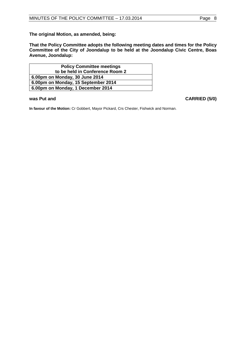**The original Motion, as amended, being:** 

**That the Policy Committee adopts the following meeting dates and times for the Policy Committee of the City of Joondalup to be held at the Joondalup Civic Centre, Boas Avenue, Joondalup:**

| <b>Policy Committee meetings</b>    |
|-------------------------------------|
| to be held in Conference Room 2     |
| 6.00pm on Monday, 30 June 2014      |
| 6.00pm on Monday, 15 September 2014 |
| 6.00pm on Monday, 1 December 2014   |

**was Put and CARRIED (5/0)** 

**In favour of the Motion:** Cr Gobbert, Mayor Pickard, Crs Chester, Fishwick and Norman.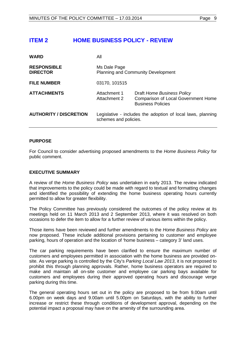# <span id="page-8-0"></span>**ITEM 2 HOME BUSINESS POLICY - REVIEW**

| <b>WARD</b>                           | All                                                                                  |                                                                                                      |
|---------------------------------------|--------------------------------------------------------------------------------------|------------------------------------------------------------------------------------------------------|
| <b>RESPONSIBLE</b><br><b>DIRECTOR</b> | Ms Dale Page<br><b>Planning and Community Development</b>                            |                                                                                                      |
| <b>FILE NUMBER</b>                    | 03170, 101515                                                                        |                                                                                                      |
| <b>ATTACHMENTS</b>                    | Attachment 1<br>Attachment 2                                                         | Draft Home Business Policy<br><b>Comparison of Local Government Home</b><br><b>Business Policies</b> |
| <b>AUTHORITY / DISCRETION</b>         | Legislative - includes the adoption of local laws, planning<br>schemes and policies. |                                                                                                      |

#### **PURPOSE**

For Council to consider advertising proposed amendments to the *Home Business Policy* for public comment.

#### **EXECUTIVE SUMMARY**

A review of the *Home Business Policy* was undertaken in early 2013. The review indicated that improvements to the policy could be made with regard to textual and formatting changes and identified the possibility of extending the home business operating hours currently permitted to allow for greater flexibility.

The Policy Committee has previously considered the outcomes of the policy review at its meetings held on 11 March 2013 and 2 September 2013, where it was resolved on both occasions to defer the item to allow for a further review of various items within the policy.

Those items have been reviewed and further amendments to the *Home Business Policy* are now proposed. These include additional provisions pertaining to customer and employee parking, hours of operation and the location of 'home business – category 3' land uses.

The car parking requirements have been clarified to ensure the maximum number of customers and employees permitted in association with the home business are provided onsite. As verge parking is controlled by the City's *Parking Local Law 2013*, it is not proposed to prohibit this through planning approvals. Rather, home business operators are required to make and maintain all on-site customer and employee car parking bays available for customers and employees during their approved operating hours and discourage verge parking during this time.

The general operating hours set out in the policy are proposed to be from 9.00am until 6.00pm on week days and 9.00am until 5.00pm on Saturdays, with the ability to further increase or restrict these through conditions of development approval, depending on the potential impact a proposal may have on the amenity of the surrounding area.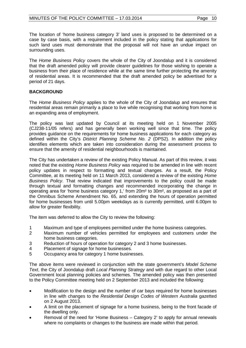The location of 'home business category 3' land uses is proposed to be determined on a case by case basis, with a requirement included in the policy stating that applications for such land uses must demonstrate that the proposal will not have an undue impact on surrounding uses.

The *Home Business Policy* covers the whole of the City of Joondalup and it is considered that the draft amended policy will provide clearer guidelines for those wishing to operate a business from their place of residence while at the same time further protecting the amenity of residential areas. It is recommended that the draft amended policy be advertised for a period of 21 days.

# **BACKGROUND**

The *Home Business Policy* applies to the whole of the City of Joondalup and ensures that residential areas remain primarily a place to live while recognising that working from home is an expanding area of employment.

The policy was last updated by Council at its meeting held on 1 November 2005 (CJ238-11/05 refers) and has generally been working well since that time. The policy provides guidance on the requirements for home business applications for each category as defined within the City's *District Planning Scheme No. 2* (DPS2). In addition the policy identifies elements which are taken into consideration during the assessment process to ensure that the amenity of residential neighbourhoods is maintained.

The City has undertaken a review of the existing Policy Manual. As part of this review, it was noted that the existing *Home Business Policy* was required to be amended in line with recent policy updates in respect to formatting and textual changes. As a result, the Policy Committee, at its meeting held on 11 March 2013, considered a review of the existing *Home Business Policy*. That review indicated that improvements to the policy could be made through textual and formatting changes and recommended incorporating the change in operating area for 'home business category 1,' from 20m² to 30m², as proposed as a part of the Omnibus Scheme Amendment No. 65, and extending the hours of operation permitted for home businesses from until 5.00pm weekdays as is currently permitted, until 6.00pm to allow for greater flexibility.

The item was deferred to allow the City to review the following:

- 1 Maximum and type of employees permitted under the home business categories.<br>2 Maximum number of vehicles permitted for employees and customers under
- Maximum number of vehicles permitted for employees and customers under the home business categories.
- 3 Reduction of hours of operation for category 2 and 3 home businesses.
- 4 Placement of signage for home businesses.
- 5 Occupancy area for category 1 home businesses.

The above items were reviewed in conjunction with the state government's *Model Scheme Text*, the City of Joondalup draft *Local Planning Strategy* and with due regard to other Local Government local planning policies and schemes. The amended policy was then presented to the Policy Committee meeting held on 2 September 2013 and included the following:

- Modification to the design and the number of car bays required for home businesses in line with changes to the *Residential Design Codes of Western Australia* gazetted on 2 August 2013.
- A limit on the placement of signage for a home business, being to the front facade of the dwelling only.
- Removal of the need for 'Home Business Category 2' to apply for annual renewals where no complaints or changes to the business are made within that period.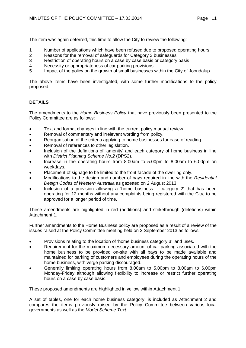The item was again deferred, this time to allow the City to review the following:

- 1 Number of applications which have been refused due to proposed operating hours<br>2 Reasons for the removal of safequards for Category 3 businesses
- 2 Reasons for the removal of safeguards for Category 3 businesses<br>3 Restriction of operating hours on a case by case basis or category
- 3 Restriction of operating hours on a case by case basis or category basis<br>4 Necessity or appropriateness of car parking provisions
- 4 Necessity or appropriateness of car parking provisions<br>5 Impact of the policy on the growth of small businesses
- Impact of the policy on the growth of small businesses within the City of Joondalup.

The above items have been investigated, with some further modifications to the policy proposed.

# **DETAILS**

The amendments to the *Home Business Policy* that have previously been presented to the Policy Committee are as follows:

- Text and format changes in line with the current policy manual review.
- Removal of commentary and irrelevant wording from policy.
- Reorganisation of the criteria applying to home businesses for ease of reading.
- Removal of references to other legislation.
- Inclusion of the definitions of 'amenity' and each category of home business in line with *District Planning Scheme No.2* (DPS2).
- Increase in the operating hours from 8.00am to 5.00pm to 8.00am to 6.00pm on weekdays.
- Placement of signage to be limited to the front facade of the dwelling only.
- Modifications to the design and number of bays required in line with the *Residential Design Codes of Western Australia* as gazetted on 2 August 2013.
- Inclusion of a provision allowing a 'home business  $-$  category 2' that has been operating for 12 months without any complaints being registered with the City, to be approved for a longer period of time.

These amendments are highlighted in red (additions) and strikethrough (deletions) within Attachment 1.

Further amendments to the Home Business policy are proposed as a result of a review of the issues raised at the Policy Committee meeting held on 2 September 2013 as follows:

- Provisions relating to the location of 'home business category 3' land uses.
- Requirement for the maximum necessary amount of car parking associated with the home business to be provided on-site with all bays to be made available and maintained for parking of customers and employees during the operating hours of the home business, with verge parking discouraged.
- Generally limiting operating hours from 8.00am to 5.00pm to 8.00am to 6.00pm Monday-Friday although allowing flexibility to increase or restrict further operating hours on a case by case basis.

These proposed amendments are highlighted in yellow within Attachment 1.

A set of tables, one for each home business category, is included as Attachment 2 and compares the items previously raised by the Policy Committee between various local governments as well as the *Model Scheme Text.*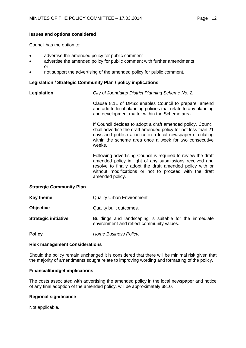#### **Issues and options considered**

Council has the option to:

- advertise the amended policy for public comment
- advertise the amended policy for public comment with further amendments or
- not support the advertising of the amended policy for public comment.

#### **Legislation / Strategic Community Plan / policy implications**

**Legislation** *City of Joondalup District Planning Scheme No. 2.*

Clause 8.11 of DPS2 enables Council to prepare, amend and add to local planning policies that relate to any planning and development matter within the Scheme area.

If Council decides to adopt a draft amended policy, Council shall advertise the draft amended policy for not less than 21 days and publish a notice in a local newspaper circulating within the scheme area once a week for two consecutive weeks.

Following advertising Council is required to review the draft amended policy in light of any submissions received and resolve to finally adopt the draft amended policy with or without modifications or not to proceed with the draft amended policy.

#### **Strategic Community Plan**

| Key theme                   | <b>Quality Urban Environment.</b>                                                                    |
|-----------------------------|------------------------------------------------------------------------------------------------------|
| <b>Objective</b>            | Quality built outcomes.                                                                              |
| <b>Strategic initiative</b> | Buildings and landscaping is suitable for the immediate<br>environment and reflect community values. |
| <b>Policy</b>               | Home Business Policy.                                                                                |

#### **Risk management considerations**

Should the policy remain unchanged it is considered that there will be minimal risk given that the majority of amendments sought relate to improving wording and formatting of the policy.

#### **Financial/budget implications**

The costs associated with advertising the amended policy in the local newspaper and notice of any final adoption of the amended policy, will be approximately \$810.

#### **Regional significance**

Not applicable.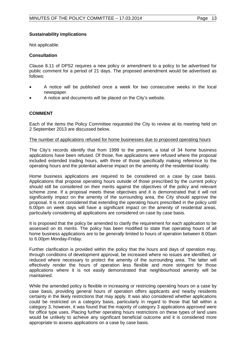#### **Sustainability implications**

Not applicable.

#### **Consultation**

Clause 8.11 of DPS2 requires a new policy or amendment to a policy to be advertised for public comment for a period of 21 days. The proposed amendment would be advertised as follows:

- A notice will be published once a week for two consecutive weeks in the local newspaper.
- A notice and documents will be placed on the City's website.

#### **COMMENT**

Each of the items the Policy Committee requested the City to review at its meeting held on 2 September 2013 are discussed below.

#### The number of applications refused for home businesses due to proposed operating hours

The City's records identify that from 1999 to the present, a total of 34 home business applications have been refused. Of those, five applications were refused where the proposal included extended trading hours, with three of those specifically making reference to the operating hours and the potential adverse impact on the amenity of the residential locality.

Home business applications are required to be considered on a case by case basis. Applications that propose operating hours outside of those prescribed by the current policy should still be considered on their merits against the objectives of the policy and relevant scheme zone. If a proposal meets these objectives and it is demonstrated that it will not significantly impact on the amenity of the surrounding area, the City should approve the proposal. It is not considered that extending the operating hours prescribed in the policy until 6.00pm on week days will have a significant impact on the amenity of residential areas, particularly considering all applications are considered on case by case basis.

It is proposed that the policy be amended to clarify the requirement for each application to be assessed on its merits. The policy has been modified to state that operating hours of all home business applications are to be *generally* limited to hours of operation between 8.00am to 6.00pm Monday-Friday.

Further clarification is provided within the policy that the hours and days of operation may, through conditions of development approval, be increased where no issues are identified, or reduced where necessary to protect the amenity of the surrounding area. The latter will effectively render the hours of operation less flexible and more stringent for those applications where it is not easily demonstrated that neighbourhood amenity will be maintained.

While the amended policy is flexible in increasing or restricting operating hours on a case by case basis, providing general hours of operation offers applicants and nearby residents certainty in the likely restrictions that may apply. It was also considered whether applications could be restricted on a category basis, particularly in regard to those that fall within a category 3, however, it was found that the majority of category 3 applications approved were for office type uses. Placing further operating hours restrictions on these types of land uses would be unlikely to achieve any significant beneficial outcome and it is considered more appropriate to assess applications on a case by case basis.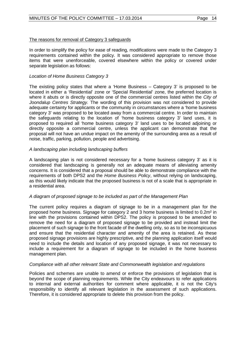### The reasons for removal of Category 3 safeguards

In order to simplify the policy for ease of reading, modifications were made to the Category 3 requirements contained within the policy. It was considered appropriate to remove those items that were unenforceable, covered elsewhere within the policy or covered under separate legislation as follows:

#### *Location of Home Business Category 3*

The existing policy states that where a 'Home Business – Category 3' is proposed to be located in either a 'Residential' zone or 'Special Residential' zone, the preferred location is where it abuts or is directly opposite one of the commercial centres listed within the *City of Joondalup Centres Strategy.* The wording of this provision was not considered to provide adequate certainty for applicants or the community in circumstances where a 'home business category 3' was proposed to be located away from a commercial centre. In order to maintain the safeguards relating to the location of 'home business category 3' land uses, it is proposed to required all 'home business category 3' land uses to be located adjoining or directly opposite a commercial centre, unless the applicant can demonstrate that the proposal will not have an undue impact on the amenity of the surrounding area as a result of noise, traffic, parking, pollution, people and advertising.

#### *A landscaping plan including landscaping buffers*

A landscaping plan is not considered necessary for a 'home business category 3' as it is considered that landscaping is generally not an adequate means of alleviating amenity concerns. It is considered that a proposal should be able to demonstrate compliance with the requirements of both DPS2 and the *Home Business Policy*, without relying on landscaping, as this would likely indicate that the proposed business is not of a scale that is appropriate in a residential area.

#### *A diagram of proposed signage to be included as part of the Management Plan*

The current policy requires a diagram of signage to be in a management plan for the proposed home business. Signage for category 2 and 3 home business is limited to 0.2m² in line with the provisions contained within DPS2. The policy is proposed to be amended to remove the need for a diagram of proposed signage to be provided and instead limit the placement of such signage to the front facade of the dwelling only, so as to be inconspicuous and ensure that the residential character and amenity of the area is retained. As these proposed signage provisions are highly prescriptive, and the planning application itself would need to include the details and location of any proposed signage, it was not necessary to include a requirement for a diagram of signage to be included in the home business management plan.

#### *Compliance with all other relevant State and Commonwealth legislation and regulations*

Policies and schemes are unable to amend or enforce the provisions of legislation that is beyond the scope of planning requirements. While the City endeavours to refer applications to internal and external authorities for comment where applicable, it is not the City's responsibility to identify all relevant legislation in the assessment of such applications. Therefore, it is considered appropriate to delete this provision from the policy.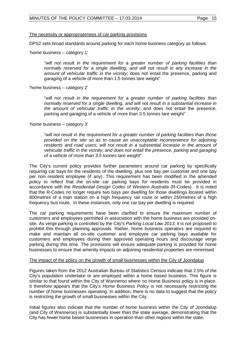#### The necessity or appropriateness of car parking provisions

DPS2 sets broad standards around parking for each home business category as follows:

'home business – category 1'

"*will not result in the requirement for a greater number of parking facilities than normally reserved for a single dwelling, and will not result in any increase in the amount of vehicular traffic in the vicinity*; does not entail the presence, parking and garaging of a vehicle of more than 1.5 tonnes tare weight"

'home business – category 2'

"*will not result in the requirement for a greater number of parking facilities than normally reserved for a single dwelling, and will not result in a substantial increase in the amount of vehicular traffic in the vicinity;* and does not entail the presence, parking and garaging of a vehicle of more than 3.5 tonnes tare weight"

'home business – category 3'

"*will not result in the requirement for a greater number of parking facilities than those provided on the site so as to cause an unacceptable inconvenience for adjoining*  residents and road users; will not result in a substantial increase in the amount of *vehicular traffic in the vicinity; and does not entail the presence, parking and garaging of a vehicle of more than 3.5 tonnes tare weight*"

The City's current policy provides further parameters around car parking by specifically requiring car bays for the residents of the dwelling, plus one bay per customer and one bay per non resident employee (if any). This requirement has been modified in the amended policy to reflect that the on-site car parking bays for residents must be provided in accordance with the *Residential Design Codes of Western Australia* (R-Codes). It is noted that the R-Codes no longer require two bays per dwelling for those dwellings located within 800metres of a train station on a high frequency rail route or within 250metres of a high frequency bus route. In these instances, only one car bay per dwelling is required.

The car parking requirements have been clarified to ensure the maximum number of customers and employees permitted in association with the home business are provided onsite. As verge parking is controlled by the City's *Parking Local Law 2013*, it is not proposed to prohibit this through planning approvals. Rather, home business operators are required to make and maintain all on-site customer and employee car parking bays available for customers and employees during their approved operating hours and discourage verge parking during this time. The provisions will ensure adequate parking is provided for home businesses to ensure that amenity impacts on adjoining residential properties are minimised.

#### The impact of the policy on the growth of small businesses within the City of Joondalup

Figures taken from the 2012 Australian Bureau of Statistics Census indicate that 2.5% of the City's population undertake or are employed within a home based business. This figure is similar to that found within the City of Wanneroo where no Home Business policy is in place. It therefore appears that the City's *Home Business Policy* is not necessarily restricting the number of home businesses operating. In addition, there is no data to suggest that the policy is restricting the growth of small businesses within the City.

Initial figures also indicate that the number of home business within the City of Joondalup (and City of Wanneroo) is substantially lower than the state average, demonstrating that the City has fewer home based businesses in operation than other regions within the state.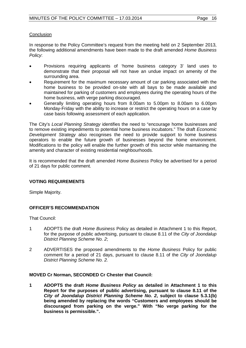#### **Conclusion**

In response to the Policy Committee's request from the meeting held on 2 September 2013, the following additional amendments have been made to the draft amended *Home Business Policy*:

- Provisions requiring applicants of 'home business category 3' land uses to demonstrate that their proposal will not have an undue impact on amenity of the surrounding area.
- Requirement for the maximum necessary amount of car parking associated with the home business to be provided on-site with all bays to be made available and maintained for parking of customers and employees during the operating hours of the home business, with verge parking discouraged.
- Generally limiting operating hours from 8.00am to 5.00pm to 8.00am to 6.00pm Monday-Friday with the ability to increase or restrict the operating hours on a case by case basis following assessment of each application.

The City's *Local Planning Strategy* identifies the need to "encourage home businesses and to remove existing impediments to potential home business incubators." The draft *Economic Development Strategy* also recognises the need to provide support to home business operators to enable the future growth of businesses beyond the home environment. Modifications to the policy will enable the further growth of this sector while maintaining the amenity and character of existing residential neighbourhoods.

It is recommended that the draft amended *Home Business* Policy be advertised for a period of 21 days for public comment.

#### **VOTING REQUIREMENTS**

Simple Majority.

# **OFFICER'S RECOMMENDATION**

That Council:

- 1 ADOPTS the draft *Home Business* Policy as detailed in Attachment 1 to this Report, for the purpose of public advertising, pursuant to clause 8.11 of the *City of Joondalup District Planning Scheme No. 2*;
- 2 ADVERTISES the proposed amendments to the *Home Business* Policy for public comment for a period of 21 days, pursuant to clause 8.11 of the *City of Joondalup District Planning Scheme No. 2.*

#### **MOVED Cr Norman, SECONDED Cr Chester that Council:**

**1 ADOPTS the draft** *Home Business Policy* **as detailed in Attachment 1 to this Report for the purposes of public advertising, pursuant to clause 8.11 of the**  *City of Joondalup District Planning Scheme No. 2***, subject to clause 5.3.1(b) being amended by replacing the words "Customers and employees should be discouraged from parking on the verge." With "No verge parking for the business is permissible.".**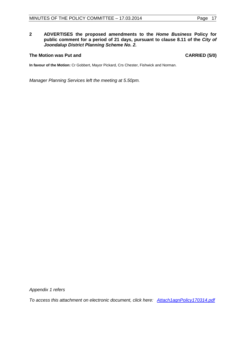#### **2 ADVERTISES the proposed amendments to the** *Home Business* **Policy for public comment for a period of 21 days, pursuant to clause 8.11 of the** *City of Joondalup District Planning Scheme No. 2.*

#### The Motion was Put and **CARRIED** (5/0)

**In favour of the Motion:** Cr Gobbert, Mayor Pickard, Crs Chester, Fishwick and Norman.

*Manager Planning Services left the meeting at 5.50pm.*

*Appendix 1 refers*

*[To access this attachment on electronic document, click here: Attach1agnPolicy170314.pdf](http://www.joondalup.wa.gov.au/files/committees/POLI/2014/Attach1agnPolicy170314.pdf)*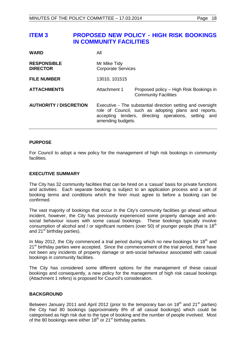# <span id="page-17-0"></span>**ITEM 3 PROPOSED NEW POLICY - HIGH RISK BOOKINGS IN COMMUNITY FACILITIES**

| <b>WARD</b>                           | All                                                                                                                                                                                              |                                                                        |
|---------------------------------------|--------------------------------------------------------------------------------------------------------------------------------------------------------------------------------------------------|------------------------------------------------------------------------|
| <b>RESPONSIBLE</b><br><b>DIRECTOR</b> | Mr Mike Tidy<br><b>Corporate Services</b>                                                                                                                                                        |                                                                        |
| <b>FILE NUMBER</b>                    | 13010, 101515                                                                                                                                                                                    |                                                                        |
| <b>ATTACHMENTS</b>                    | Attachment 1                                                                                                                                                                                     | Proposed policy – High Risk Bookings in<br><b>Community Facilities</b> |
| <b>AUTHORITY / DISCRETION</b>         | Executive - The substantial direction setting and oversight<br>role of Council, such as adopting plans and reports,<br>accepting tenders, directing operations, setting and<br>amending budgets. |                                                                        |

#### **PURPOSE**

For Council to adopt a new policy for the management of high risk bookings in community facilities.

#### **EXECUTIVE SUMMARY**

The City has 32 community facilities that can be hired on a 'casual' basis for private functions and activities. Each separate booking is subject to an application process and a set of booking terms and conditions which the hirer must agree to before a booking can be confirmed.

The vast majority of bookings that occur in the City's community facilities go ahead without incident, however, the City has previously experienced some property damage and antisocial behaviour issues with some casual bookings. These bookings typically involve consumption of alcohol and / or significant numbers (over 50) of younger people (that is  $18<sup>th</sup>$ and  $21^{st}$  birthday parties).

In May 2012, the City commenced a trial period during which no new bookings for 18<sup>th</sup> and  $21<sup>st</sup>$  birthday parties were accepted. Since the commencement of the trial period, there have not been any incidents of property damage or anti-social behaviour associated with casual bookings in community facilities.

The City has considered some different options for the management of these casual bookings and consequently, a new policy for the management of high risk casual bookings (Attachment 1 refers) is proposed for Council's consideration.

#### **BACKGROUND**

Between January 2011 and April 2012 (prior to the temporary ban on 18<sup>th</sup> and 21<sup>st</sup> parties) the City had 80 bookings (approximately 8% of all casual bookings) which could be categorised as high risk due to the type of booking and the number of people involved. Most of the 80 bookings were either  $18^{th}$  or  $21^{st}$  birthday parties.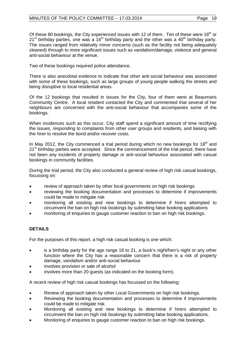Of these 80 bookings, the City experienced issues with 12 of them. Ten of these were  $18<sup>th</sup>$  or 21<sup>st</sup> birthday parties, one was a 16<sup>th</sup> birthday party and the other was a 40<sup>th</sup> birthday party. The issues ranged from relatively minor concerns (such as the facility not being adequately cleaned) through to more significant issues such as vandalism/damage, violence and general anti-social behaviour at the venue.

Two of these bookings required police attendance.

There is also anecdotal evidence to indicate that other anti-social behaviour was associated with some of these bookings, such as large groups of young people walking the streets and being disruptive to local residential areas.

Of the 12 bookings that resulted in issues for the City, four of them were at Beaumaris Community Centre. A local resident contacted the City and commented that several of her neighbours are concerned with the anti-social behaviour that accompanies some of the bookings.

When incidences such as this occur, City staff spend a significant amount of time rectifying the issues, responding to complaints from other user groups and residents, and liaising with the hirer to resolve the bond and/or recover costs.

In May 2012, the City commenced a trial period during which no new bookings for  $18<sup>th</sup>$  and 21<sup>st</sup> birthday parties were accepted. Since the commencement of the trial period, there have not been any incidents of property damage or anti-social behaviour associated with casual bookings in community facilities.

During the trial period, the City also conducted a general review of high risk casual bookings, focussing on:

- review of approach taken by other local governments on high risk bookings
- reviewing the booking documentation and processes to determine if improvements could be made to mitigate risk
- monitoring all existing and new bookings to determine if hirers attempted to circumvent the ban on high risk bookings by submitting false booking applications
- monitoring of enquiries to gauge customer reaction to ban on high risk bookings.

# **DETAILS**

For the purposes of this report, a high risk casual booking is one which:

- is a birthday party for the age range 16 to 21, a buck's night/hen's night or any other function where the City has a reasonable concern that there is a risk of property damage, vandalism and/or anti-social behaviour
- involves provision or sale of alcohol
- involves more than 20 guests (as indicated on the booking form).

A recent review of high risk casual bookings has focussed on the following:

- Review of approach taken by other Local Governments on high risk bookings.
- Reviewing the booking documentation and processes to determine if improvements could be made to mitigate risk.
- Monitoring all existing and new bookings to determine if hirers attempted to circumvent the ban on high risk bookings by submitting false booking applications.
- Monitoring of enquiries to gauge customer reaction to ban on high risk bookings.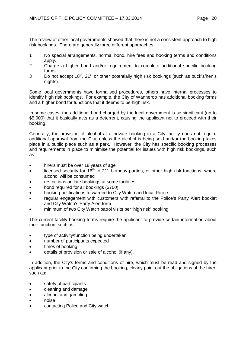The review of other local governments showed that there is not a consistent approach to high risk bookings. There are generally three different approaches:

- 1 No special arrangements, normal bond, hire fees and booking terms and conditions apply.
- 2 Charge a higher bond and/or requirement to complete additional specific booking forms.
- 3 Do not accept  $18<sup>th</sup>$ ,  $21<sup>st</sup>$  or other potentially high risk bookings (such as buck's/hen's nights).

Some local governments have formalised procedures, others have internal processes to identify high risk bookings. For example, the City of Wanneroo has additional booking forms and a higher bond for functions that it deems to be high risk.

In some cases, the additional bond charged by the local government is so significant (up to \$5,000) that it basically acts as a deterrent, causing the applicant not to proceed with their booking.

Generally, the provision of alcohol at a private booking in a City facility does not require additional approval from the City, unless the alcohol is being sold and/or the booking takes place in a public place such as a park. However, the City has specific booking processes and requirements in place to minimise the potential for issues with high risk bookings, such as:

- hirers must be over 18 years of age
- licensed security for  $16<sup>th</sup>$  to  $21<sup>st</sup>$  birthday parties, or other high risk functions, where alcohol will be consumed
- restrictions on late bookings at some facilities
- bond required for all bookings (\$700)
- booking notifications forwarded to City Watch and local Police
- regular engagement with customers with referral to the Police's Party Alert booklet and City Watch's Party Alert form
- minimum of two City Watch patrol visits per 'high risk' booking.

The current facility booking forms require the applicant to provide certain information about their function, such as:

- type of activity/function being undertaken
- number of participants expected
- times of booking
- details of provision or sale of alcohol (if any).

In addition, the City's terms and conditions of hire, which must be read and signed by the applicant prior to the City confirming the booking, clearly point out the obligations of the hirer, such as:

- safety of participants
- cleaning and damage
- alcohol and gambling
- noise
- contacting Police and City watch.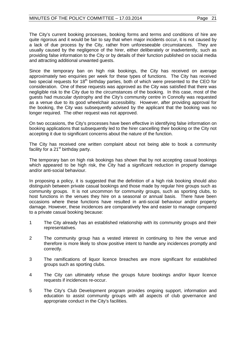#### MINUTES OF THE POLICY COMMITTEE - 17.03.2014 Page 21

The City's current booking processes, booking forms and terms and conditions of hire are quite rigorous and it would be fair to say that when major incidents occur, it is not caused by a lack of due process by the City, rather from unforeseeable circumstances. They are usually caused by the negligence of the hirer, either deliberately or inadvertently, such as providing false information to the City or by details of their function published on social media and attracting additional unwanted guests.

Since the temporary ban on high risk bookings, the City has received on average approximately two enquiries per week for these types of functions. The City has received two special requests for 18<sup>th</sup> birthday parties, both of which were presented to the CEO for consideration. One of these requests was approved as the City was satisfied that there was negligible risk to the City due to the circumstances of the booking. In this case, most of the guests had muscular dystrophy and the City's community centre in Connolly was requested as a venue due to its good wheelchair accessibility. However, after providing approval for the booking, the City was subsequently advised by the applicant that the booking was no longer required. The other request was not approved.

On two occasions, the City's processes have been effective in identifying false information on booking applications that subsequently led to the hirer cancelling their booking or the City not accepting it due to significant concerns about the nature of the function.

The City has received one written complaint about not being able to book a community facility for a 21<sup>st</sup> birthday party.

The temporary ban on high risk bookings has shown that by not accepting casual bookings which appeared to be high risk, the City had a significant reduction in property damage and/or anti-social behaviour.

In proposing a policy, it is suggested that the definition of a high risk booking should also distinguish between private casual bookings and those made by regular hire groups such as community groups. It is not uncommon for community groups, such as sporting clubs, to host functions in the venues they hire on a seasonal or annual basis. There have been occasions where these functions have resulted in anti-social behaviour and/or property damage. However, these incidences are comparatively few and easier to manage compared to a private casual booking because:

- 1 The City already has an established relationship with its community groups and their representatives.
- 2 The community group has a vested interest in continuing to hire the venue and therefore is more likely to show positive intent to handle any incidences promptly and correctly.
- 3 The ramifications of liquor licence breaches are more significant for established groups such as sporting clubs.
- 4 The City can ultimately refuse the groups future bookings and/or liquor licence requests if incidences re-occur.
- 5 The City's Club Development program provides ongoing support, information and education to assist community groups with all aspects of club governance and appropriate conduct in the City's facilities.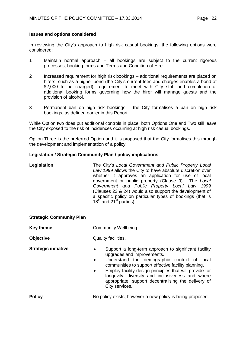#### **Issues and options considered**

In reviewing the City's approach to high risk casual bookings, the following options were considered:

- 1 Maintain normal approach all bookings are subject to the current rigorous processes, booking forms and Terms and Condition of Hire.
- 2 Increased requirement for high risk bookings additional requirements are placed on hirers, such as a higher bond (the City's current fees and charges enables a bond of \$2,000 to be charged), requirement to meet with City staff and completion of additional booking forms governing how the hirer will manage guests and the provision of alcohol.
- 3 Permanent ban on high risk bookings the City formalises a ban on high risk bookings, as defined earlier in this Report.

While Option two does put additional controls in place, both Options One and Two still leave the City exposed to the risk of incidences occurring at high risk casual bookings.

Option Three is the preferred Option and it is proposed that the City formalises this through the development and implementation of a policy.

#### **Legislation / Strategic Community Plan / policy implications**

| Legislation | The City's Local Government and Public Property Local<br>Law 1999 allows the City to have absolute discretion over<br>whether it approves an application for use of local<br>government or public property (Clause 9). The Local<br>Government and Public Property Local Law 1999<br>(Clauses 23 & 24) would also support the development of<br>a specific policy on particular types of bookings (that is<br>$18th$ and 21 <sup>st</sup> parties). |
|-------------|-----------------------------------------------------------------------------------------------------------------------------------------------------------------------------------------------------------------------------------------------------------------------------------------------------------------------------------------------------------------------------------------------------------------------------------------------------|
|             |                                                                                                                                                                                                                                                                                                                                                                                                                                                     |

#### **Strategic Community Plan**

**Key theme Community Wellbeing. Objective** Quality facilities. **Strategic initiative •** Support a long-term approach to significant facility upgrades and improvements. • Understand the demographic context of local communities to support effective facility planning. • Employ facility design principles that will provide for longevity, diversity and inclusiveness and where appropriate, support decentralising the delivery of City services. **Policy Policy No policy exists, however a new policy is being proposed.**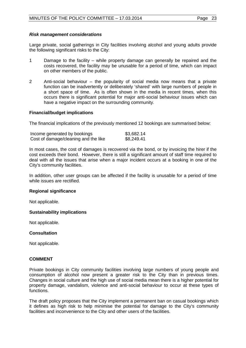#### *Risk management considerations*

Large private, social gatherings in City facilities involving alcohol and young adults provide the following significant risks to the City:

- 1 Damage to the facility while property damage can generally be repaired and the costs recovered, the facility may be unusable for a period of time, which can impact on other members of the public.
- 2 Anti-social behaviour the popularity of social media now means that a private function can be inadvertently or deliberately 'shared' with large numbers of people in a short space of time. As is often shown in the media in recent times, when this occurs there is significant potential for major anti-social behaviour issues which can have a negative impact on the surrounding community.

#### **Financial/budget implications**

The financial implications of the previously mentioned 12 bookings are summarised below:

| Income generated by bookings         | \$3,682.14 |
|--------------------------------------|------------|
| Cost of damage/cleaning and the like | \$8,249.41 |

In most cases, the cost of damages is recovered via the bond, or by invoicing the hirer if the cost exceeds their bond. However, there is still a significant amount of staff time required to deal with all the issues that arise when a major incident occurs at a booking in one of the City's community facilities.

In addition, other user groups can be affected if the facility is unusable for a period of time while issues are rectified.

#### **Regional significance**

Not applicable.

#### **Sustainability implications**

Not applicable.

#### **Consultation**

Not applicable.

#### **COMMENT**

Private bookings in City community facilities involving large numbers of young people and consumption of alcohol now present a greater risk to the City than in previous times. Changes in social culture and the high use of social media mean there is a higher potential for property damage, vandalism, violence and anti-social behaviour to occur at these types of functions.

The draft policy proposes that the City implement a permanent ban on casual bookings which it defines as high risk to help minimise the potential for damage to the City's community facilities and inconvenience to the City and other users of the facilities.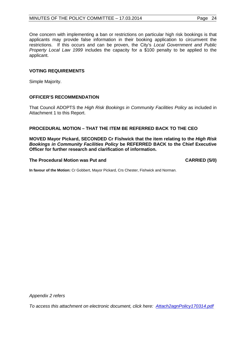One concern with implementing a ban or restrictions on particular high risk bookings is that applicants may provide false information in their booking application to circumvent the restrictions. If this occurs and can be proven, the City's *Local Government and Public Property Local Law 1999* includes the capacity for a \$100 penalty to be applied to the applicant.

# **VOTING REQUIREMENTS**

Simple Majority.

### **OFFICER'S RECOMMENDATION**

That Council ADOPTS the *High Risk Bookings in Community Facilities Policy* as included in Attachment 1 to this Report.

#### **PROCEDURAL MOTION – THAT THE ITEM BE REFERRED BACK TO THE CEO**

**MOVED Mayor Pickard, SECONDED Cr Fishwick that the item relating to the** *High Risk Bookings in Community Facilities Policy* **be REFERRED BACK to the Chief Executive Officer for further research and clarification of information.**

#### The Procedural Motion was Put and **CARRIED** (5/0)

**In favour of the Motion:** Cr Gobbert, Mayor Pickard, Crs Chester, Fishwick and Norman.

*Appendix 2 refers*

*[To access this attachment on electronic document, click here: Attach2agnPolicy170314.pdf](http://www.joondalup.wa.gov.au/files/committees/POLI/2014/Attach2agnPolicy170314.pdf)*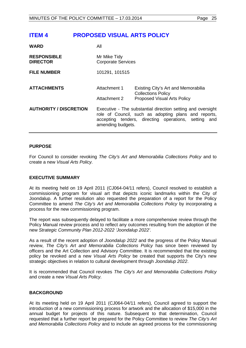<span id="page-24-0"></span>

| <b>WARD</b>                           | All                                                                                                                                                                                              |                                                                                                        |
|---------------------------------------|--------------------------------------------------------------------------------------------------------------------------------------------------------------------------------------------------|--------------------------------------------------------------------------------------------------------|
| <b>RESPONSIBLE</b><br><b>DIRECTOR</b> | Mr Mike Tidy<br><b>Corporate Services</b>                                                                                                                                                        |                                                                                                        |
| <b>FILE NUMBER</b>                    | 101291, 101515                                                                                                                                                                                   |                                                                                                        |
| <b>ATTACHMENTS</b>                    | Attachment 1<br>Attachment 2                                                                                                                                                                     | Existing City's Art and Memorabilia<br><b>Collections Policy</b><br><b>Proposed Visual Arts Policy</b> |
| <b>AUTHORITY / DISCRETION</b>         | Executive - The substantial direction setting and oversight<br>role of Council, such as adopting plans and reports,<br>accepting tenders, directing operations, setting and<br>amending budgets. |                                                                                                        |

#### **PURPOSE**

For Council to consider revoking *The City's Art and Memorabilia Collections Policy* and to create a new *Visual Arts Policy.*

#### **EXECUTIVE SUMMARY**

At its meeting held on 19 April 2011 (CJ064-04/11 refers), Council resolved to establish a commissioning program for visual art that depicts iconic landmarks within the City of Joondalup. A further resolution also requested the preparation of a report for the Policy Committee to amend *The City's Art and Memorabilia Collections Policy* by incorporating a process for the new commissioning program.

The report was subsequently delayed to facilitate a more comprehensive review through the Policy Manual review process and to reflect any outcomes resulting from the adoption of the new *Strategic Community Plan 2012-2022 'Joondalup 2022'.*

As a result of the recent adoption of *Joondalup 2022* and the progress of the Policy Manual review, *The City's Art and Memorabilia Collections Policy* has since been reviewed by officers and the Art Collection and Advisory Committee. It is recommended that the existing policy be revoked and a new *Visual Arts Policy* be created that supports the City's new strategic objectives in relation to cultural development through *Joondalup 2022*.

It is recommended that Council revokes *The City's Art and Memorabilia Collections Policy* and create a new *Visual Arts Policy.*

#### **BACKGROUND**

At its meeting held on 19 April 2011 (CJ064-04/11 refers), Council agreed to support the introduction of a new commissioning process for artwork and the allocation of \$15,000 in the annual budget for projects of this nature. Subsequent to that determination, Council requested that a further report be prepared for the Policy Committee to review *The City's Art and Memorabilia Collections Policy* and to include an agreed process for the commissioning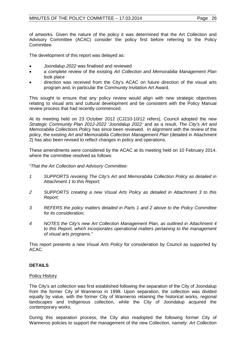of artworks. Given the nature of the policy it was determined that the Art Collection and Advisory Committee (ACAC) consider the policy first before referring to the Policy Committee.

The development of this report was delayed as:

- *Joondalup 2022* was finalised and reviewed
- a complete review of the existing *Art Collection and Memorabilia Management Plan* took place
- direction was received from the City's ACAC on future direction of the visual arts program and, in particular the Community Invitation Art Award.

This sought to ensure that any policy review would align with new strategic objectives relating to visual arts and cultural development and be consistent with the Policy Manual review process that had recently commenced.

At its meeting held on 23 October 2012 (CJ210-10/12 refers), Council adopted the new *Strategic Community Plan 2012-2022 'Joondalup 2022'* and as a result, *The City's Art and Memorabilia Collections Policy* has since been reviewed. In alignment with the review of the policy, the existing *Art and Memorabilia Collection Management Plan* (detailed in Attachment 2) has also been revised to reflect changes in policy and operations.

These amendments were considered by the ACAC at its meeting held on 10 February 2014, where the committee resolved as follows:

*"That the Art Collection and Advisory Committee:*

- *1 SUPPORTS revoking The City's Art and Memorabilia Collection Policy as detailed in Attachment 1 to this Report;*
- *2 SUPPORTS creating a new Visual Arts Policy as detailed in Attachment 3 to this Report;*
- *3 REFERS the policy matters detailed in Parts 1 and 2 above to the Policy Committee for its consideration;*
- *4 NOTES the City's new Art Collection Management Plan, as outlined in Attachment 4 to this Report, which incorporates operational matters pertaining to the management of visual arts programs."*

This report presents a new *Visual Arts Policy* for consideration by Council as supported by ACAC.

# **DETAILS**

#### Policy History

The City's art collection was first established following the separation of the City of Joondalup from the former City of Wanneroo in 1998. Upon separation, the collection was divided equally by value, with the former City of Wanneroo retaining the historical works, regional landscapes and Indigenous collection, while the City of Joondalup acquired the contemporary works.

During this separation process, the City also readopted the following former City of Wanneroo policies to support the management of the new Collection, namely: *Art Collection*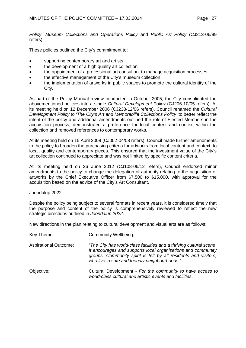*Policy*, *Museum Collections and Operations Policy* and *Public Art Policy* (CJ213-06/99 refers).

These policies outlined the City's commitment to:

- supporting contemporary art and artists
- the development of a high quality art collection
- the appointment of a professional art consultant to manage acquisition processes
- the effective management of the City's museum collection
- the implementation of artworks in public spaces to promote the cultural identity of the City.

As part of the Policy Manual review conducted in October 2005, the City consolidated the abovementioned policies into a single *Cultural Development Policy* (CJ206-10/05 refers). At its meeting held on 12 December 2006 (CJ238-12/06 refers), Council renamed the *Cultural Development Policy* to '*The City's Art and Memorabilia Collections Policy'* to better reflect the intent of the policy and additional amendments outlined the role of Elected Members in the acquisition process, demonstrated a preference for local content and context within the collection and removed references to contemporary works.

At its meeting held on 15 April 2008 (CJ052-04/08 refers), Council made further amendments to the policy to broaden the purchasing criteria for artworks from local content and context, to local, quality and contemporary pieces. This ensured that the investment value of the City's art collection continued to appreciate and was not limited by specific content criteria.

At its meeting held on 26 June 2012 (CJ108-06/12 refers), Council endorsed minor amendments to the policy to change the delegation of authority relating to the acquisition of artworks by the Chief Executive Officer from \$7,500 to \$15,000, with approval for the acquisition based on the advice of the City's Art Consultant.

#### Joondalup 2022

Despite the policy being subject to several formats in recent years, it is considered timely that the purpose and content of the policy is comprehensively reviewed to reflect the new strategic directions outlined in *Joondalup 2022*.

New directions in the plan relating to cultural development and visual arts are as follows:

| Key Theme:                   | Community Wellbeing.                                                                                                                                                                                                                                     |
|------------------------------|----------------------------------------------------------------------------------------------------------------------------------------------------------------------------------------------------------------------------------------------------------|
| <b>Aspirational Outcome:</b> | "The City has world-class facilities and a thriving cultural scene.<br>It encourages and supports local organisations and community<br>groups. Community spirit is felt by all residents and visitors,<br>who live in safe and friendly neighbourhoods." |
| Objective:                   | Cultural Development - For the community to have access to<br>world-class cultural and artistic events and facilities.                                                                                                                                   |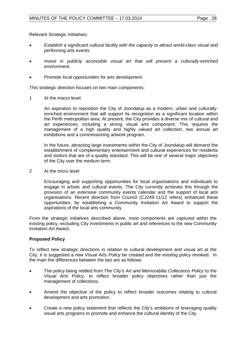Relevant Strategic Initiatives:

- *Establish a significant cultural facility with the capacity to attract world-class visual and performing arts events.*
- *Invest in publicly accessible visual art that will present a culturally-enriched environment.*
- *Promote local opportunities for arts development.*

This strategic direction focuses on two main components:

1 At the macro level:

An aspiration to reposition the City of Joondalup as a modern, urban and culturallyenriched environment that will support its recognition as a significant location within the Perth metropolitan area. At present, the City provides a diverse mix of cultural and art experiences, including a strong visual arts component. This requires the management of a high quality and highly valued art collection, two annual art exhibitions and a commissioning artwork program.

In the future, attracting large investments within the City of Joondalup will demand the establishment of complementary entertainment and cultural experiences for residents and visitors that are of a quality standard. This will be one of several major objectives of the City over the medium term.

2 At the micro level:

Encouraging and supporting opportunities for local organisations and individuals to engage in artistic and cultural events. The City currently achieves this through the provision of an extensive community events calendar and the support of local arts organisations. Recent direction from Council (CJ249-11/12 refers) enhanced these opportunities, by establishing a Community Invitation Art Award to support the aspirations of the local arts community.

From the strategic initiatives described above, most components are captured within the existing policy, excluding City investments in public art and references to the new Community Invitation Art Award.

#### **Proposed Policy**

To reflect new strategic directions in relation to cultural development and visual art at the City, it is suggested a new *Visual Arts Policy* be created and the existing policy revoked. In the main the differences between the two are as follows:

- The policy being retitled from *The City's Art and Memorabilia Collections Policy* to the *Visual Arts Policy*, to reflect broader policy objectives rather than just the management of collections.
- Amend the objective of the policy to reflect broader outcomes relating to cultural development and arts promotion.
- Create a new policy statement that reflects the City's ambitions of leveraging quality visual arts programs to promote and enhance the cultural identity of the City.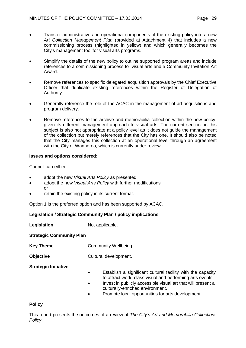- Transfer administrative and operational components of the existing policy into a new *Art Collection Management Plan* (provided at Attachment 4) that includes a new commissioning process (highlighted in yellow) and which generally becomes the City's management tool for visual arts programs.
- Simplify the details of the new policy to outline supported program areas and include references to a commissioning process for visual arts and a Community Invitation Art Award.
- Remove references to specific delegated acquisition approvals by the Chief Executive Officer that duplicate existing references within the Register of Delegation of Authority.
- Generally reference the role of the ACAC in the management of art acquisitions and program delivery.
- Remove references to the archive and memorabilia collection within the new policy, given its different management approach to visual arts. The current section on this subject is also not appropriate at a policy level as it does not guide the management of the collection but merely references that the City has one. It should also be noted that the City manages this collection at an operational level through an agreement with the City of Wanneroo, which is currently under review.

#### **Issues and options considered:**

Council can either:

- adopt the new *Visual Arts Policy* as presented
- adopt the new *Visual Arts Policy* with further modifications or
- retain the existing policy in its current format.

Option 1 is the preferred option and has been supported by ACAC.

#### **Legislation / Strategic Community Plan / policy implications**

**Legislation** Not applicable.

**Strategic Community Plan**

- **Key Theme Community Wellbeing.**
- **Objective** Cultural development.

**Strategic Initiative**

- Establish a significant cultural facility with the capacity to attract world-class visual and performing arts events.
- Invest in publicly accessible visual art that will present a culturally-enriched environment.
- Promote local opportunities for arts development.

#### **Policy**

This report presents the outcomes of a review of *The City's Art and Memorabilia Collections Policy*.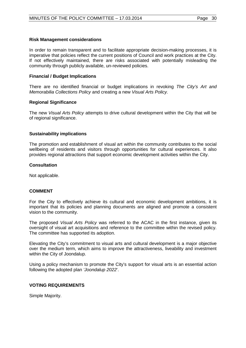#### **Risk Management considerations**

In order to remain transparent and to facilitate appropriate decision-making processes, it is imperative that policies reflect the current positions of Council and work practices at the City. If not effectively maintained, there are risks associated with potentially misleading the community through publicly available, un-reviewed policies.

#### **Financial / Budget Implications**

There are no identified financial or budget implications in revoking *The City's Art and Memorabilia Collections Policy* and creating a new *Visual Arts Policy.*

#### **Regional Significance**

The new *Visual Arts Policy* attempts to drive cultural development within the City that will be of regional significance.

#### **Sustainability implications**

The promotion and establishment of visual art within the community contributes to the social wellbeing of residents and visitors through opportunities for cultural experiences. It also provides regional attractions that support economic development activities within the City.

#### **Consultation**

Not applicable.

#### **COMMENT**

For the City to effectively achieve its cultural and economic development ambitions, it is important that its policies and planning documents are aligned and promote a consistent vision to the community.

The proposed *Visual Arts Policy* was referred to the ACAC in the first instance, given its oversight of visual art acquisitions and reference to the committee within the revised policy. The committee has supported its adoption.

Elevating the City's commitment to visual arts and cultural development is a major objective over the medium term, which aims to improve the attractiveness, liveability and investment within the City of Joondalup.

Using a policy mechanism to promote the City's support for visual arts is an essential action following the adopted plan *'Joondalup 2022*'.

#### **VOTING REQUIREMENTS**

Simple Majority.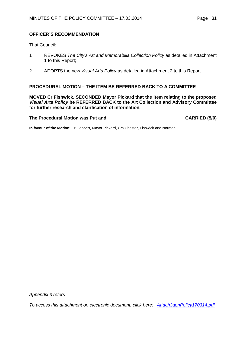#### **OFFICER'S RECOMMENDATION**

That Council:

- 1 REVOKES *The City's Art and Memorabilia Collection Policy* as detailed in Attachment 1 to this Report;
- 2 ADOPTS the new *Visual Arts Policy* as detailed in Attachment 2 to this Report.

#### **PROCEDURAL MOTION – THE ITEM BE REFERRED BACK TO A COMMITTEE**

**MOVED Cr Fishwick, SECONDED Mayor Pickard that the item relating to the proposed**  *Visual Arts Policy* **be REFERRED BACK to the Art Collection and Advisory Committee for further research and clarification of information.**

#### The Procedural Motion was Put and **CARRIED** (5/0)

**In favour of the Motion:** Cr Gobbert, Mayor Pickard, Crs Chester, Fishwick and Norman.

*Appendix 3 refers*

<span id="page-30-0"></span>*[To access this attachment on electronic document, click here: Attach3agnPolicy170314.pdf](http://www.joondalup.wa.gov.au/files/committees/POLI/2014/Attach3agnPolicy170314.pdf)*